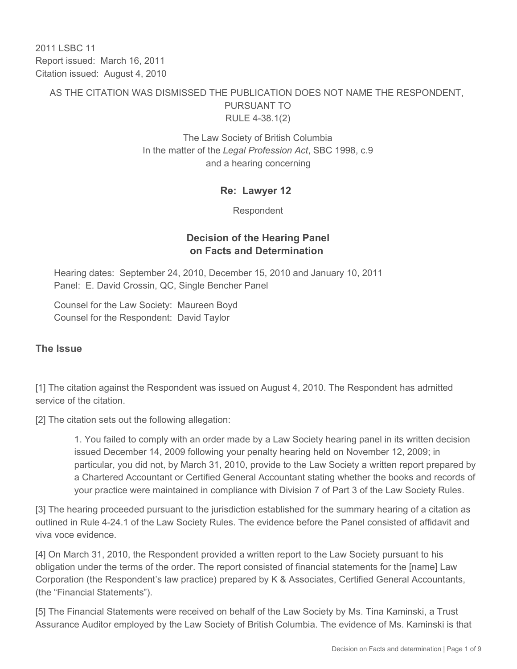2011 I SBC 11 Report issued: March 16, 2011 Citation issued: August 4, 2010

### AS THE CITATION WAS DISMISSED THE PUBLICATION DOES NOT NAME THE RESPONDENT, PURSUANT TO RULE 4-38.1(2)

# The Law Society of British Columbia In the matter of the *Legal Profession Act*, SBC 1998, c.9 and a hearing concerning

### **Re: Lawyer 12**

Respondent

## **Decision of the Hearing Panel on Facts and Determination**

Hearing dates: September 24, 2010, December 15, 2010 and January 10, 2011 Panel: E. David Crossin, QC, Single Bencher Panel

Counsel for the Law Society: Maureen Boyd Counsel for the Respondent: David Taylor

#### **The Issue**

[1] The citation against the Respondent was issued on August 4, 2010. The Respondent has admitted service of the citation.

[2] The citation sets out the following allegation:

1. You failed to comply with an order made by a Law Society hearing panel in its written decision issued December 14, 2009 following your penalty hearing held on November 12, 2009; in particular, you did not, by March 31, 2010, provide to the Law Society a written report prepared by a Chartered Accountant or Certified General Accountant stating whether the books and records of your practice were maintained in compliance with Division 7 of Part 3 of the Law Society Rules.

[3] The hearing proceeded pursuant to the jurisdiction established for the summary hearing of a citation as outlined in Rule 4-24.1 of the Law Society Rules. The evidence before the Panel consisted of affidavit and viva voce evidence.

[4] On March 31, 2010, the Respondent provided a written report to the Law Society pursuant to his obligation under the terms of the order. The report consisted of financial statements for the [name] Law Corporation (the Respondent's law practice) prepared by K & Associates, Certified General Accountants, (the "Financial Statements").

[5] The Financial Statements were received on behalf of the Law Society by Ms. Tina Kaminski, a Trust Assurance Auditor employed by the Law Society of British Columbia. The evidence of Ms. Kaminski is that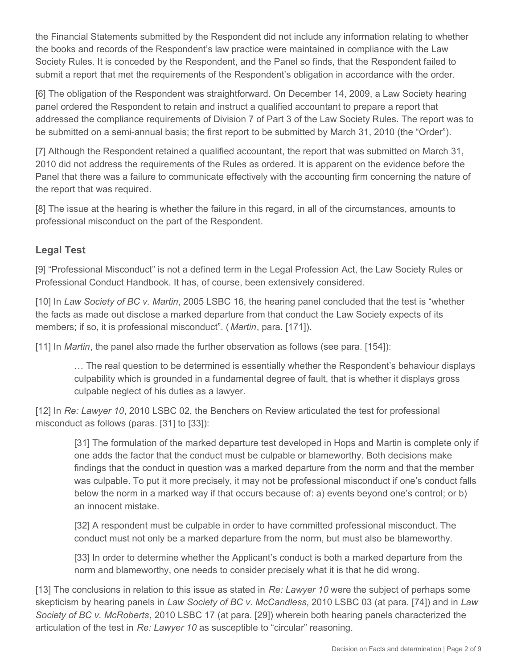the Financial Statements submitted by the Respondent did not include any information relating to whether the books and records of the Respondent's law practice were maintained in compliance with the Law Society Rules. It is conceded by the Respondent, and the Panel so finds, that the Respondent failed to submit a report that met the requirements of the Respondent's obligation in accordance with the order.

[6] The obligation of the Respondent was straightforward. On December 14, 2009, a Law Society hearing panel ordered the Respondent to retain and instruct a qualified accountant to prepare a report that addressed the compliance requirements of Division 7 of Part 3 of the Law Society Rules. The report was to be submitted on a semi-annual basis; the first report to be submitted by March 31, 2010 (the "Order").

[7] Although the Respondent retained a qualified accountant, the report that was submitted on March 31, 2010 did not address the requirements of the Rules as ordered. It is apparent on the evidence before the Panel that there was a failure to communicate effectively with the accounting firm concerning the nature of the report that was required.

[8] The issue at the hearing is whether the failure in this regard, in all of the circumstances, amounts to professional misconduct on the part of the Respondent.

# **Legal Test**

[9] "Professional Misconduct" is not a defined term in the Legal Profession Act, the Law Society Rules or Professional Conduct Handbook. It has, of course, been extensively considered.

[10] In *Law Society of BC v. Martin*, 2005 LSBC 16, the hearing panel concluded that the test is "whether the facts as made out disclose a marked departure from that conduct the Law Society expects of its members; if so, it is professional misconduct". ( *Martin*, para. [171]).

[11] In *Martin*, the panel also made the further observation as follows (see para. [154]):

… The real question to be determined is essentially whether the Respondent's behaviour displays culpability which is grounded in a fundamental degree of fault, that is whether it displays gross culpable neglect of his duties as a lawyer.

[12] In *Re: Lawyer 10*, 2010 LSBC 02, the Benchers on Review articulated the test for professional misconduct as follows (paras. [31] to [33]):

[31] The formulation of the marked departure test developed in Hops and Martin is complete only if one adds the factor that the conduct must be culpable or blameworthy. Both decisions make findings that the conduct in question was a marked departure from the norm and that the member was culpable. To put it more precisely, it may not be professional misconduct if one's conduct falls below the norm in a marked way if that occurs because of: a) events beyond one's control; or b) an innocent mistake.

[32] A respondent must be culpable in order to have committed professional misconduct. The conduct must not only be a marked departure from the norm, but must also be blameworthy.

[33] In order to determine whether the Applicant's conduct is both a marked departure from the norm and blameworthy, one needs to consider precisely what it is that he did wrong.

[13] The conclusions in relation to this issue as stated in *Re: Lawyer 10* were the subject of perhaps some skepticism by hearing panels in *Law Society of BC v. McCandless*, 2010 LSBC 03 (at para. [74]) and in *Law Society of BC v. McRoberts*, 2010 LSBC 17 (at para. [29]) wherein both hearing panels characterized the articulation of the test in *Re: Lawyer 10* as susceptible to "circular" reasoning.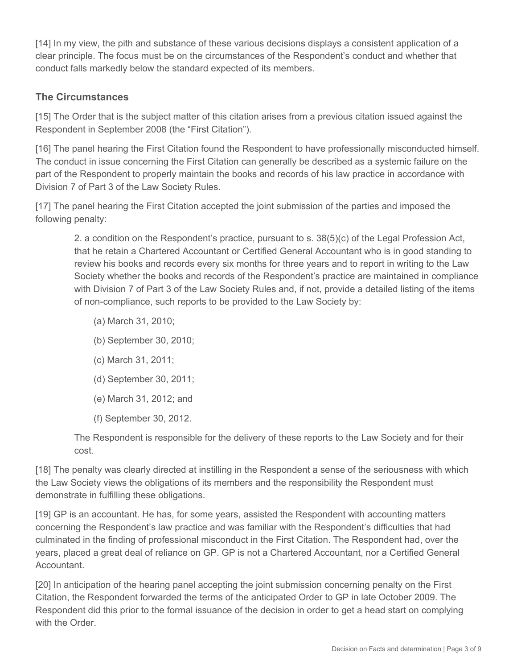[14] In my view, the pith and substance of these various decisions displays a consistent application of a clear principle. The focus must be on the circumstances of the Respondent's conduct and whether that conduct falls markedly below the standard expected of its members.

## **The Circumstances**

[15] The Order that is the subject matter of this citation arises from a previous citation issued against the Respondent in September 2008 (the "First Citation").

[16] The panel hearing the First Citation found the Respondent to have professionally misconducted himself. The conduct in issue concerning the First Citation can generally be described as a systemic failure on the part of the Respondent to properly maintain the books and records of his law practice in accordance with Division 7 of Part 3 of the Law Society Rules.

[17] The panel hearing the First Citation accepted the joint submission of the parties and imposed the following penalty:

2. a condition on the Respondent's practice, pursuant to s. 38(5)(c) of the Legal Profession Act, that he retain a Chartered Accountant or Certified General Accountant who is in good standing to review his books and records every six months for three years and to report in writing to the Law Society whether the books and records of the Respondent's practice are maintained in compliance with Division 7 of Part 3 of the Law Society Rules and, if not, provide a detailed listing of the items of non-compliance, such reports to be provided to the Law Society by:

- (a) March 31, 2010;
- (b) September 30, 2010;
- (c) March 31, 2011;
- (d) September 30, 2011;
- (e) March 31, 2012; and
- (f) September 30, 2012.

The Respondent is responsible for the delivery of these reports to the Law Society and for their cost.

[18] The penalty was clearly directed at instilling in the Respondent a sense of the seriousness with which the Law Society views the obligations of its members and the responsibility the Respondent must demonstrate in fulfilling these obligations.

[19] GP is an accountant. He has, for some years, assisted the Respondent with accounting matters concerning the Respondent's law practice and was familiar with the Respondent's difficulties that had culminated in the finding of professional misconduct in the First Citation. The Respondent had, over the years, placed a great deal of reliance on GP. GP is not a Chartered Accountant, nor a Certified General **Accountant** 

[20] In anticipation of the hearing panel accepting the joint submission concerning penalty on the First Citation, the Respondent forwarded the terms of the anticipated Order to GP in late October 2009. The Respondent did this prior to the formal issuance of the decision in order to get a head start on complying with the Order.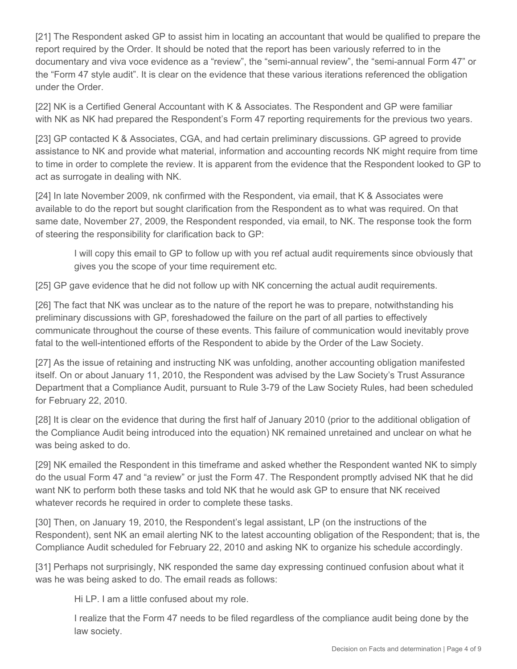[21] The Respondent asked GP to assist him in locating an accountant that would be qualified to prepare the report required by the Order. It should be noted that the report has been variously referred to in the documentary and viva voce evidence as a "review", the "semi-annual review", the "semi-annual Form 47" or the "Form 47 style audit". It is clear on the evidence that these various iterations referenced the obligation under the Order.

[22] NK is a Certified General Accountant with K & Associates. The Respondent and GP were familiar with NK as NK had prepared the Respondent's Form 47 reporting requirements for the previous two years.

[23] GP contacted K & Associates, CGA, and had certain preliminary discussions. GP agreed to provide assistance to NK and provide what material, information and accounting records NK might require from time to time in order to complete the review. It is apparent from the evidence that the Respondent looked to GP to act as surrogate in dealing with NK.

[24] In late November 2009, nk confirmed with the Respondent, via email, that K & Associates were available to do the report but sought clarification from the Respondent as to what was required. On that same date, November 27, 2009, the Respondent responded, via email, to NK. The response took the form of steering the responsibility for clarification back to GP:

I will copy this email to GP to follow up with you ref actual audit requirements since obviously that gives you the scope of your time requirement etc.

[25] GP gave evidence that he did not follow up with NK concerning the actual audit requirements.

[26] The fact that NK was unclear as to the nature of the report he was to prepare, notwithstanding his preliminary discussions with GP, foreshadowed the failure on the part of all parties to effectively communicate throughout the course of these events. This failure of communication would inevitably prove fatal to the well-intentioned efforts of the Respondent to abide by the Order of the Law Society.

[27] As the issue of retaining and instructing NK was unfolding, another accounting obligation manifested itself. On or about January 11, 2010, the Respondent was advised by the Law Society's Trust Assurance Department that a Compliance Audit, pursuant to Rule 3-79 of the Law Society Rules, had been scheduled for February 22, 2010.

[28] It is clear on the evidence that during the first half of January 2010 (prior to the additional obligation of the Compliance Audit being introduced into the equation) NK remained unretained and unclear on what he was being asked to do.

[29] NK emailed the Respondent in this timeframe and asked whether the Respondent wanted NK to simply do the usual Form 47 and "a review" or just the Form 47. The Respondent promptly advised NK that he did want NK to perform both these tasks and told NK that he would ask GP to ensure that NK received whatever records he required in order to complete these tasks.

[30] Then, on January 19, 2010, the Respondent's legal assistant, LP (on the instructions of the Respondent), sent NK an email alerting NK to the latest accounting obligation of the Respondent; that is, the Compliance Audit scheduled for February 22, 2010 and asking NK to organize his schedule accordingly.

[31] Perhaps not surprisingly, NK responded the same day expressing continued confusion about what it was he was being asked to do. The email reads as follows:

Hi LP. I am a little confused about my role.

I realize that the Form 47 needs to be filed regardless of the compliance audit being done by the law society.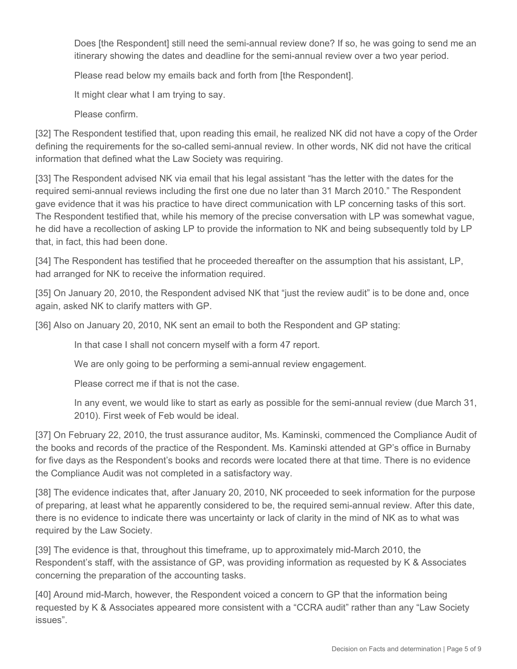Does [the Respondent] still need the semi-annual review done? If so, he was going to send me an itinerary showing the dates and deadline for the semi-annual review over a two year period.

Please read below my emails back and forth from [the Respondent].

It might clear what I am trying to say.

Please confirm.

[32] The Respondent testified that, upon reading this email, he realized NK did not have a copy of the Order defining the requirements for the so-called semi-annual review. In other words, NK did not have the critical information that defined what the Law Society was requiring.

[33] The Respondent advised NK via email that his legal assistant "has the letter with the dates for the required semi-annual reviews including the first one due no later than 31 March 2010." The Respondent gave evidence that it was his practice to have direct communication with LP concerning tasks of this sort. The Respondent testified that, while his memory of the precise conversation with LP was somewhat vague, he did have a recollection of asking LP to provide the information to NK and being subsequently told by LP that, in fact, this had been done.

[34] The Respondent has testified that he proceeded thereafter on the assumption that his assistant, LP, had arranged for NK to receive the information required.

[35] On January 20, 2010, the Respondent advised NK that "just the review audit" is to be done and, once again, asked NK to clarify matters with GP.

[36] Also on January 20, 2010, NK sent an email to both the Respondent and GP stating:

In that case I shall not concern myself with a form 47 report.

We are only going to be performing a semi-annual review engagement.

Please correct me if that is not the case.

In any event, we would like to start as early as possible for the semi-annual review (due March 31, 2010). First week of Feb would be ideal.

[37] On February 22, 2010, the trust assurance auditor, Ms. Kaminski, commenced the Compliance Audit of the books and records of the practice of the Respondent. Ms. Kaminski attended at GP's office in Burnaby for five days as the Respondent's books and records were located there at that time. There is no evidence the Compliance Audit was not completed in a satisfactory way.

[38] The evidence indicates that, after January 20, 2010, NK proceeded to seek information for the purpose of preparing, at least what he apparently considered to be, the required semi-annual review. After this date, there is no evidence to indicate there was uncertainty or lack of clarity in the mind of NK as to what was required by the Law Society.

[39] The evidence is that, throughout this timeframe, up to approximately mid-March 2010, the Respondent's staff, with the assistance of GP, was providing information as requested by K & Associates concerning the preparation of the accounting tasks.

[40] Around mid-March, however, the Respondent voiced a concern to GP that the information being requested by K & Associates appeared more consistent with a "CCRA audit" rather than any "Law Society issues".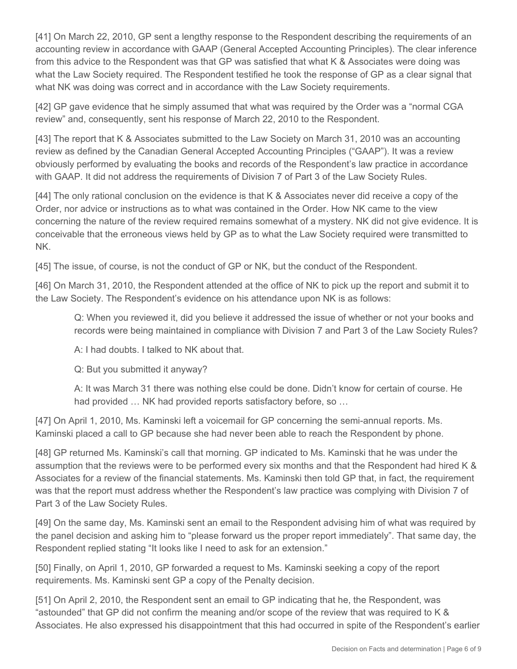[41] On March 22, 2010, GP sent a lengthy response to the Respondent describing the requirements of an accounting review in accordance with GAAP (General Accepted Accounting Principles). The clear inference from this advice to the Respondent was that GP was satisfied that what K & Associates were doing was what the Law Society required. The Respondent testified he took the response of GP as a clear signal that what NK was doing was correct and in accordance with the Law Society requirements.

[42] GP gave evidence that he simply assumed that what was required by the Order was a "normal CGA review" and, consequently, sent his response of March 22, 2010 to the Respondent.

[43] The report that K & Associates submitted to the Law Society on March 31, 2010 was an accounting review as defined by the Canadian General Accepted Accounting Principles ("GAAP"). It was a review obviously performed by evaluating the books and records of the Respondent's law practice in accordance with GAAP. It did not address the requirements of Division 7 of Part 3 of the Law Society Rules.

[44] The only rational conclusion on the evidence is that K & Associates never did receive a copy of the Order, nor advice or instructions as to what was contained in the Order. How NK came to the view concerning the nature of the review required remains somewhat of a mystery. NK did not give evidence. It is conceivable that the erroneous views held by GP as to what the Law Society required were transmitted to NK.

[45] The issue, of course, is not the conduct of GP or NK, but the conduct of the Respondent.

[46] On March 31, 2010, the Respondent attended at the office of NK to pick up the report and submit it to the Law Society. The Respondent's evidence on his attendance upon NK is as follows:

Q: When you reviewed it, did you believe it addressed the issue of whether or not your books and records were being maintained in compliance with Division 7 and Part 3 of the Law Society Rules?

A: I had doubts. I talked to NK about that.

Q: But you submitted it anyway?

A: It was March 31 there was nothing else could be done. Didn't know for certain of course. He had provided … NK had provided reports satisfactory before, so …

[47] On April 1, 2010, Ms. Kaminski left a voicemail for GP concerning the semi-annual reports. Ms. Kaminski placed a call to GP because she had never been able to reach the Respondent by phone.

[48] GP returned Ms. Kaminski's call that morning. GP indicated to Ms. Kaminski that he was under the assumption that the reviews were to be performed every six months and that the Respondent had hired K & Associates for a review of the financial statements. Ms. Kaminski then told GP that, in fact, the requirement was that the report must address whether the Respondent's law practice was complying with Division 7 of Part 3 of the Law Society Rules.

[49] On the same day, Ms. Kaminski sent an email to the Respondent advising him of what was required by the panel decision and asking him to "please forward us the proper report immediately". That same day, the Respondent replied stating "It looks like I need to ask for an extension."

[50] Finally, on April 1, 2010, GP forwarded a request to Ms. Kaminski seeking a copy of the report requirements. Ms. Kaminski sent GP a copy of the Penalty decision.

[51] On April 2, 2010, the Respondent sent an email to GP indicating that he, the Respondent, was "astounded" that GP did not confirm the meaning and/or scope of the review that was required to K & Associates. He also expressed his disappointment that this had occurred in spite of the Respondent's earlier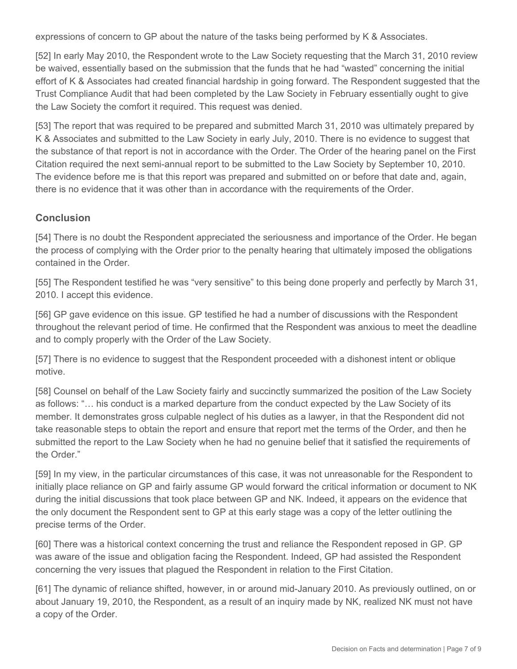expressions of concern to GP about the nature of the tasks being performed by K & Associates.

[52] In early May 2010, the Respondent wrote to the Law Society requesting that the March 31, 2010 review be waived, essentially based on the submission that the funds that he had "wasted" concerning the initial effort of K & Associates had created financial hardship in going forward. The Respondent suggested that the Trust Compliance Audit that had been completed by the Law Society in February essentially ought to give the Law Society the comfort it required. This request was denied.

[53] The report that was required to be prepared and submitted March 31, 2010 was ultimately prepared by K & Associates and submitted to the Law Society in early July, 2010. There is no evidence to suggest that the substance of that report is not in accordance with the Order. The Order of the hearing panel on the First Citation required the next semi-annual report to be submitted to the Law Society by September 10, 2010. The evidence before me is that this report was prepared and submitted on or before that date and, again, there is no evidence that it was other than in accordance with the requirements of the Order.

### **Conclusion**

[54] There is no doubt the Respondent appreciated the seriousness and importance of the Order. He began the process of complying with the Order prior to the penalty hearing that ultimately imposed the obligations contained in the Order.

[55] The Respondent testified he was "very sensitive" to this being done properly and perfectly by March 31, 2010. I accept this evidence.

[56] GP gave evidence on this issue. GP testified he had a number of discussions with the Respondent throughout the relevant period of time. He confirmed that the Respondent was anxious to meet the deadline and to comply properly with the Order of the Law Society.

[57] There is no evidence to suggest that the Respondent proceeded with a dishonest intent or oblique motive.

[58] Counsel on behalf of the Law Society fairly and succinctly summarized the position of the Law Society as follows: "… his conduct is a marked departure from the conduct expected by the Law Society of its member. It demonstrates gross culpable neglect of his duties as a lawyer, in that the Respondent did not take reasonable steps to obtain the report and ensure that report met the terms of the Order, and then he submitted the report to the Law Society when he had no genuine belief that it satisfied the requirements of the Order."

[59] In my view, in the particular circumstances of this case, it was not unreasonable for the Respondent to initially place reliance on GP and fairly assume GP would forward the critical information or document to NK during the initial discussions that took place between GP and NK. Indeed, it appears on the evidence that the only document the Respondent sent to GP at this early stage was a copy of the letter outlining the precise terms of the Order.

[60] There was a historical context concerning the trust and reliance the Respondent reposed in GP. GP was aware of the issue and obligation facing the Respondent. Indeed, GP had assisted the Respondent concerning the very issues that plagued the Respondent in relation to the First Citation.

[61] The dynamic of reliance shifted, however, in or around mid-January 2010. As previously outlined, on or about January 19, 2010, the Respondent, as a result of an inquiry made by NK, realized NK must not have a copy of the Order.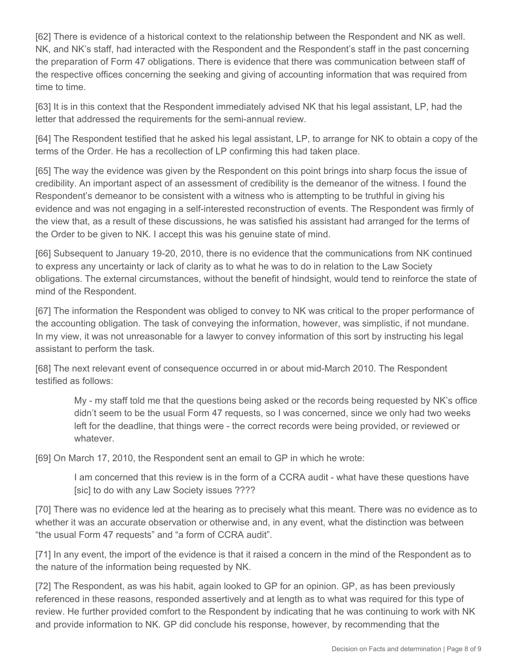[62] There is evidence of a historical context to the relationship between the Respondent and NK as well. NK, and NK's staff, had interacted with the Respondent and the Respondent's staff in the past concerning the preparation of Form 47 obligations. There is evidence that there was communication between staff of the respective offices concerning the seeking and giving of accounting information that was required from time to time.

[63] It is in this context that the Respondent immediately advised NK that his legal assistant, LP, had the letter that addressed the requirements for the semi-annual review.

[64] The Respondent testified that he asked his legal assistant, LP, to arrange for NK to obtain a copy of the terms of the Order. He has a recollection of LP confirming this had taken place.

[65] The way the evidence was given by the Respondent on this point brings into sharp focus the issue of credibility. An important aspect of an assessment of credibility is the demeanor of the witness. I found the Respondent's demeanor to be consistent with a witness who is attempting to be truthful in giving his evidence and was not engaging in a self-interested reconstruction of events. The Respondent was firmly of the view that, as a result of these discussions, he was satisfied his assistant had arranged for the terms of the Order to be given to NK. I accept this was his genuine state of mind.

[66] Subsequent to January 19-20, 2010, there is no evidence that the communications from NK continued to express any uncertainty or lack of clarity as to what he was to do in relation to the Law Society obligations. The external circumstances, without the benefit of hindsight, would tend to reinforce the state of mind of the Respondent.

[67] The information the Respondent was obliged to convey to NK was critical to the proper performance of the accounting obligation. The task of conveying the information, however, was simplistic, if not mundane. In my view, it was not unreasonable for a lawyer to convey information of this sort by instructing his legal assistant to perform the task.

[68] The next relevant event of consequence occurred in or about mid-March 2010. The Respondent testified as follows:

My - my staff told me that the questions being asked or the records being requested by NK's office didn't seem to be the usual Form 47 requests, so I was concerned, since we only had two weeks left for the deadline, that things were - the correct records were being provided, or reviewed or whatever.

[69] On March 17, 2010, the Respondent sent an email to GP in which he wrote:

I am concerned that this review is in the form of a CCRA audit - what have these questions have [sic] to do with any Law Society issues ????

[70] There was no evidence led at the hearing as to precisely what this meant. There was no evidence as to whether it was an accurate observation or otherwise and, in any event, what the distinction was between "the usual Form 47 requests" and "a form of CCRA audit".

[71] In any event, the import of the evidence is that it raised a concern in the mind of the Respondent as to the nature of the information being requested by NK.

[72] The Respondent, as was his habit, again looked to GP for an opinion. GP, as has been previously referenced in these reasons, responded assertively and at length as to what was required for this type of review. He further provided comfort to the Respondent by indicating that he was continuing to work with NK and provide information to NK. GP did conclude his response, however, by recommending that the